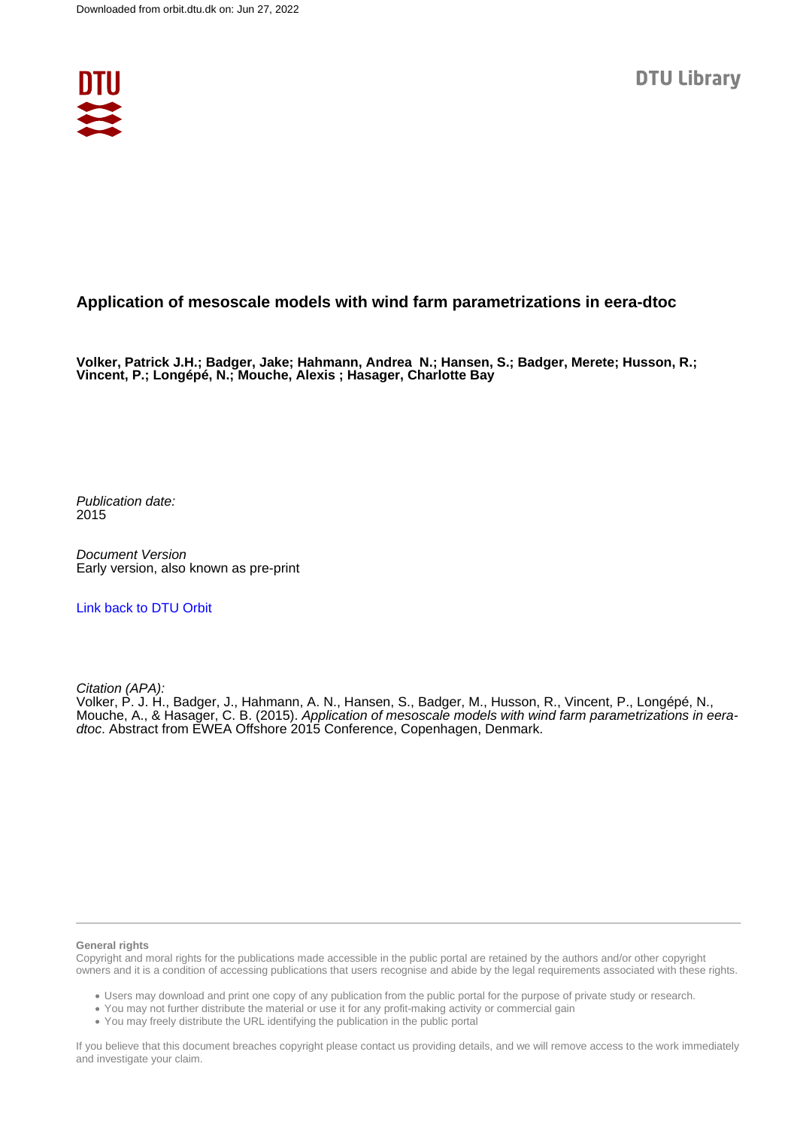

## **Application of mesoscale models with wind farm parametrizations in eera-dtoc**

**Volker, Patrick J.H.; Badger, Jake; Hahmann, Andrea N.; Hansen, S.; Badger, Merete; Husson, R.; Vincent, P.; Longépé, N.; Mouche, Alexis ; Hasager, Charlotte Bay**

Publication date: 2015

Document Version Early version, also known as pre-print

[Link back to DTU Orbit](https://orbit.dtu.dk/en/publications/82021d7e-05c5-456a-be96-de113bc8b981)

Citation (APA):

Volker, P. J. H., Badger, J., Hahmann, A. N., Hansen, S., Badger, M., Husson, R., Vincent, P., Longépé, N., Mouche, A., & Hasager, C. B. (2015). Application of mesoscale models with wind farm parametrizations in eeradtoc. Abstract from EWEA Offshore 2015 Conference, Copenhagen, Denmark.

#### **General rights**

Copyright and moral rights for the publications made accessible in the public portal are retained by the authors and/or other copyright owners and it is a condition of accessing publications that users recognise and abide by the legal requirements associated with these rights.

Users may download and print one copy of any publication from the public portal for the purpose of private study or research.

- You may not further distribute the material or use it for any profit-making activity or commercial gain
- You may freely distribute the URL identifying the publication in the public portal

If you believe that this document breaches copyright please contact us providing details, and we will remove access to the work immediately and investigate your claim.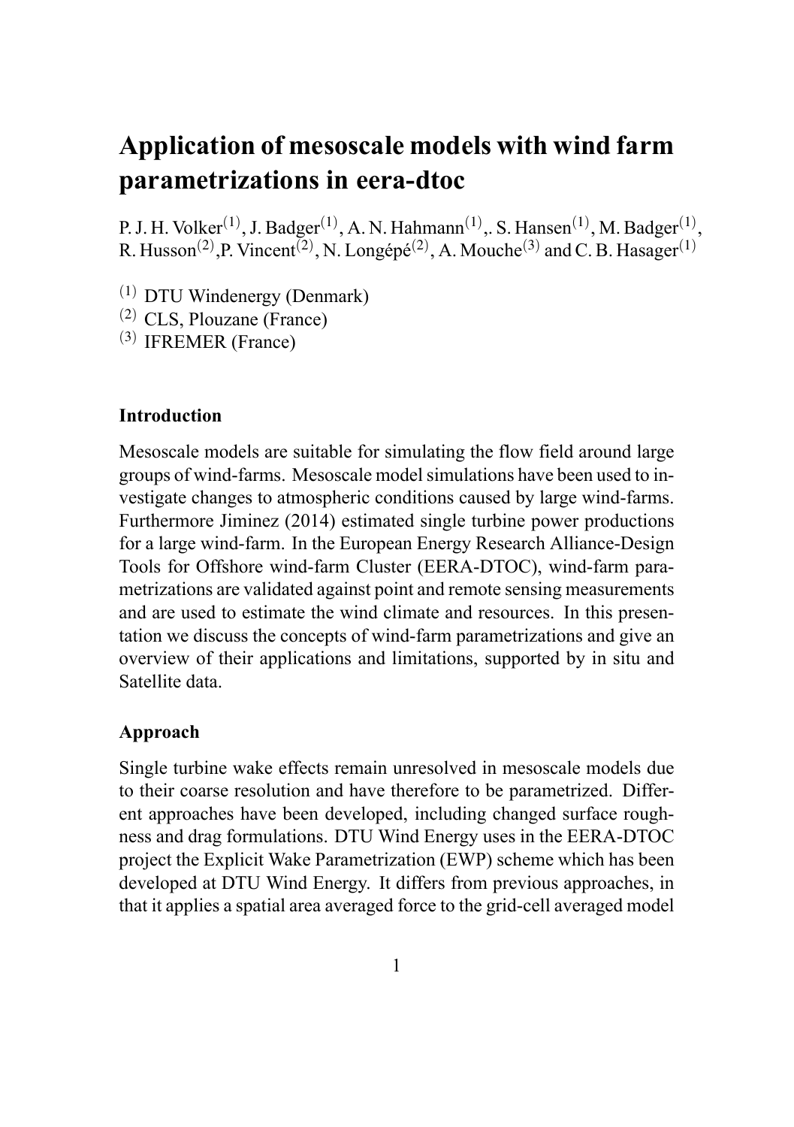# **Application of mesoscale models with wind farm parametrizations in eera-dtoc**

P. J. H. Volker<sup>(1)</sup>, J. Badger<sup>(1)</sup>, A. N. Hahmann<sup>(1)</sup>,. S. Hansen<sup>(1)</sup>, M. Badger<sup>(1)</sup>, R. Husson<sup>(2)</sup>, P. Vincent<sup>(2)</sup>, N. Longépé<sup>(2)</sup>, A. Mouche<sup>(3)</sup> and C. B. Hasager<sup>(1)</sup>

- (1) DTU Windenergy (Denmark)
- (2) CLS, Plouzane (France)
- (3) IFREMER (France)

### **Introduction**

Mesoscale models are suitable for simulating the flow field around large groups of wind-farms. Mesoscale model simulations have been used to investigate changes to atmospheric conditions caused by large wind-farms. Furthermore Jiminez (2014) estimated single turbine power productions for a large wind-farm. In the European Energy Research Alliance-Design Tools for Offshore wind-farm Cluster (EERA-DTOC), wind-farm parametrizations are validated against point and remote sensing measurements and are used to estimate the wind climate and resources. In this presentation we discuss the concepts of wind-farm parametrizations and give an overview of their applications and limitations, supported by in situ and Satellite data.

### **Approach**

Single turbine wake effects remain unresolved in mesoscale models due to their coarse resolution and have therefore to be parametrized. Different approaches have been developed, including changed surface roughness and drag formulations. DTU Wind Energy uses in the EERA-DTOC project the Explicit Wake Parametrization (EWP) scheme which has been developed at DTU Wind Energy. It differs from previous approaches, in that it applies a spatial area averaged force to the grid-cell averaged model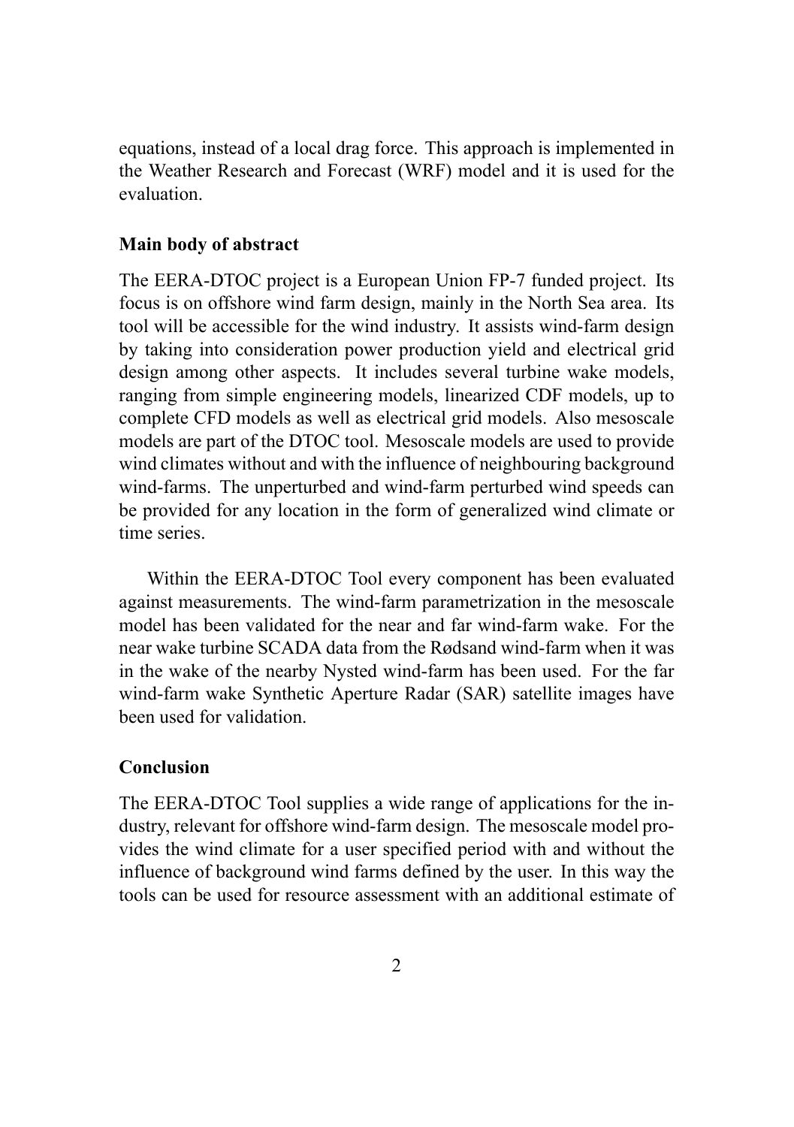equations, instead of a local drag force. This approach is implemented in the Weather Research and Forecast (WRF) model and it is used for the evaluation.

#### **Main body of abstract**

The EERA-DTOC project is a European Union FP-7 funded project. Its focus is on offshore wind farm design, mainly in the North Sea area. Its tool will be accessible for the wind industry. It assists wind-farm design by taking into consideration power production yield and electrical grid design among other aspects. It includes several turbine wake models, ranging from simple engineering models, linearized CDF models, up to complete CFD models as well as electrical grid models. Also mesoscale models are part of the DTOC tool. Mesoscale models are used to provide wind climates without and with the influence of neighbouring background wind-farms. The unperturbed and wind-farm perturbed wind speeds can be provided for any location in the form of generalized wind climate or time series.

Within the EERA-DTOC Tool every component has been evaluated against measurements. The wind-farm parametrization in the mesoscale model has been validated for the near and far wind-farm wake. For the near wake turbine SCADA data from the Rødsand wind-farm when it was in the wake of the nearby Nysted wind-farm has been used. For the far wind-farm wake Synthetic Aperture Radar (SAR) satellite images have been used for validation.

#### **Conclusion**

The EERA-DTOC Tool supplies a wide range of applications for the industry, relevant for offshore wind-farm design. The mesoscale model provides the wind climate for a user specified period with and without the influence of background wind farms defined by the user. In this way the tools can be used for resource assessment with an additional estimate of